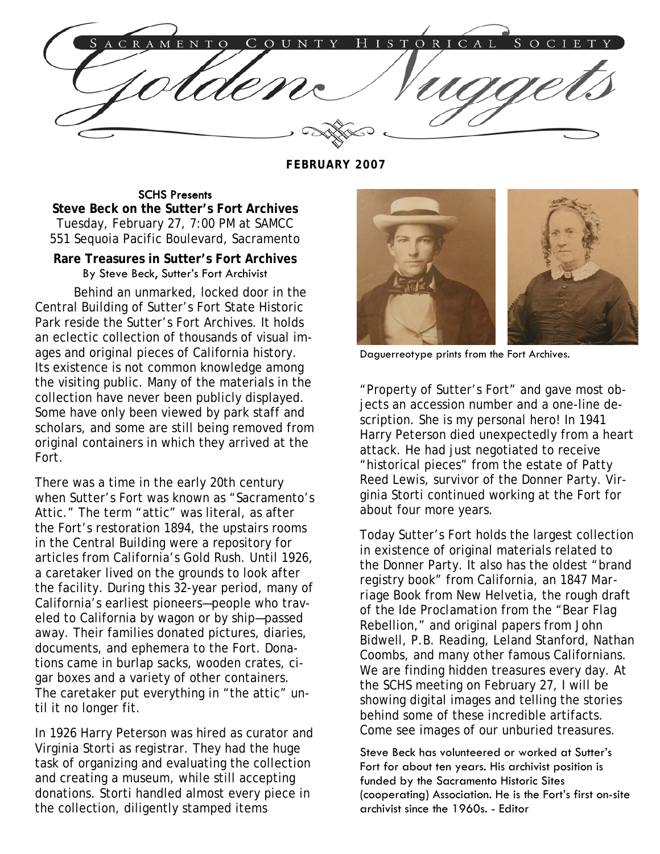TORICAL S  $E$ OUNT <sub>S</sub>  $\overline{O}$ 

**FEBRUARY 2007** 

## SCHS Presents

**Steve Beck on the Sutter's Fort Archives**  Tuesday, February 27, 7:00 PM at SAMCC 551 Sequoia Pacific Boulevard, Sacramento

## **Rare Treasures in Sutter's Fort Archives**  By Steve Beck, Sutter's Fort Archivist

Behind an unmarked, locked door in the Central Building of Sutter's Fort State Historic Park reside the Sutter's Fort Archives. It holds an eclectic collection of thousands of visual images and original pieces of California history. Its existence is not common knowledge among the visiting public. Many of the materials in the collection have never been publicly displayed. Some have only been viewed by park staff and scholars, and some are still being removed from original containers in which they arrived at the Fort.

There was a time in the early 20th century when Sutter's Fort was known as "Sacramento's Attic." The term "attic" was literal, as after the Fort's restoration 1894, the upstairs rooms in the Central Building were a repository for articles from California's Gold Rush. Until 1926, a caretaker lived on the grounds to look after the facility. During this 32-year period, many of California's earliest pioneers—people who traveled to California by wagon or by ship—passed away. Their families donated pictures, diaries, documents, and ephemera to the Fort. Donations came in burlap sacks, wooden crates, cigar boxes and a variety of other containers. The caretaker put everything in "the attic" until it no longer fit.

In 1926 Harry Peterson was hired as curator and Virginia Storti as registrar. They had the huge task of organizing and evaluating the collection and creating a museum, while still accepting donations. Storti handled almost every piece in the collection, diligently stamped items



Daguerreotype prints from the Fort Archives.

"Property of Sutter's Fort" and gave most objects an accession number and a one-line description. She is my personal hero! In 1941 Harry Peterson died unexpectedly from a heart attack. He had just negotiated to receive "historical pieces" from the estate of Patty Reed Lewis, survivor of the Donner Party. Virginia Storti continued working at the Fort for about four more years.

Today Sutter's Fort holds the largest collection in existence of original materials related to the Donner Party. It also has the oldest "brand registry book" from California, an *1847 Marriage Book* from New Helvetia, the rough draft of the *Ide Proclamation* from the "Bear Flag Rebellion," and original papers from John Bidwell, P.B. Reading, Leland Stanford, Nathan Coombs, and many other famous Californians. We are finding hidden treasures every day. At the SCHS meeting on February 27, I will be showing digital images and telling the stories behind some of these incredible artifacts. Come see images of our unburied treasures.

Steve Beck has volunteered or worked at Sutter's Fort for about ten years. His archivist position is funded by the Sacramento Historic Sites (cooperating) Association. He is the Fort's first on-site archivist since the 1960s. - Editor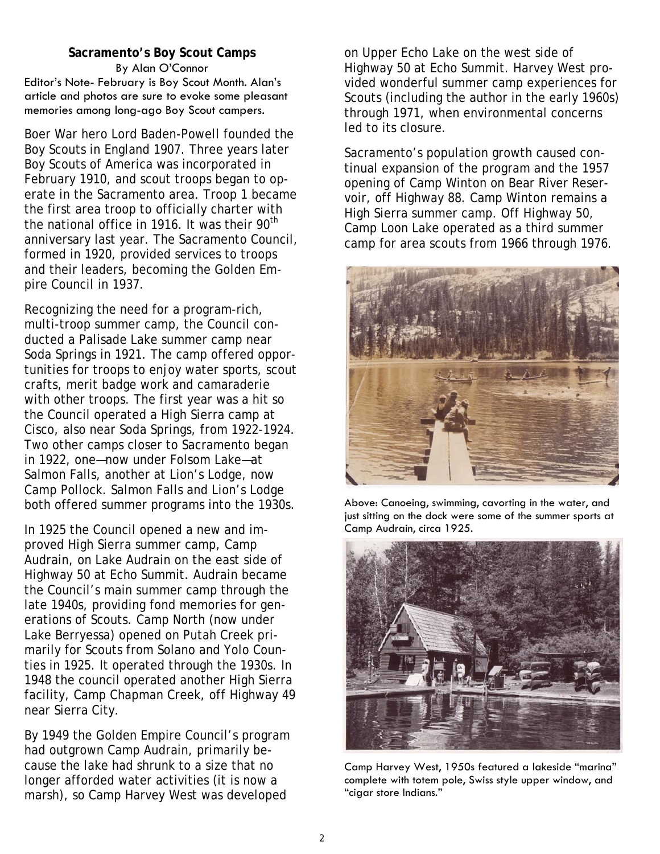#### **Sacramento's Boy Scout Camps**  By Alan O'Connor Editor's Note- February is Boy Scout Month. Alan's article and photos are sure to evoke some pleasant memories among long-ago Boy Scout campers.

Boer War hero Lord Baden-Powell founded the Boy Scouts in England 1907. Three years later Boy Scouts of America was incorporated in February 1910, and scout troops began to operate in the Sacramento area. Troop 1 became the first area troop to officially charter with the national office in 1916. It was their  $90<sup>th</sup>$ anniversary last year. The Sacramento Council, formed in 1920, provided services to troops and their leaders, becoming the Golden Empire Council in 1937.

Recognizing the need for a program-rich, multi-troop summer camp, the Council conducted a Palisade Lake summer camp near Soda Springs in 1921. The camp offered opportunities for troops to enjoy water sports, scout crafts, merit badge work and camaraderie with other troops. The first year was a hit so the Council operated a High Sierra camp at Cisco, also near Soda Springs, from 1922-1924. Two other camps closer to Sacramento began in 1922, one—now under Folsom Lake—at Salmon Falls, another at Lion's Lodge, now Camp Pollock. Salmon Falls and Lion's Lodge both offered summer programs into the 1930s.

In 1925 the Council opened a new and improved High Sierra summer camp, Camp Audrain, on Lake Audrain on the east side of Highway 50 at Echo Summit. Audrain became the Council's main summer camp through the late 1940s, providing fond memories for generations of Scouts. Camp North (now under Lake Berryessa) opened on Putah Creek primarily for Scouts from Solano and Yolo Counties in 1925. It operated through the 1930s. In 1948 the council operated another High Sierra facility, Camp Chapman Creek, off Highway 49 near Sierra City.

By 1949 the Golden Empire Council's program had outgrown Camp Audrain, primarily because the lake had shrunk to a size that no longer afforded water activities (it is now a marsh), so Camp Harvey West was developed

on Upper Echo Lake on the west side of Highway 50 at Echo Summit. Harvey West provided wonderful summer camp experiences for Scouts (including the author in the early 1960s) through 1971, when environmental concerns led to its closure.

Sacramento's population growth caused continual expansion of the program and the 1957 opening of Camp Winton on Bear River Reservoir, off Highway 88. Camp Winton remains a High Sierra summer camp. Off Highway 50, Camp Loon Lake operated as a third summer camp for area scouts from 1966 through 1976.



Above: Canoeing, swimming, cavorting in the water, and just sitting on the dock were some of the summer sports at Camp Audrain, circa 1925.



Camp Harvey West, 1950s featured a lakeside "marina" complete with totem pole, Swiss style upper window, and "cigar store Indians."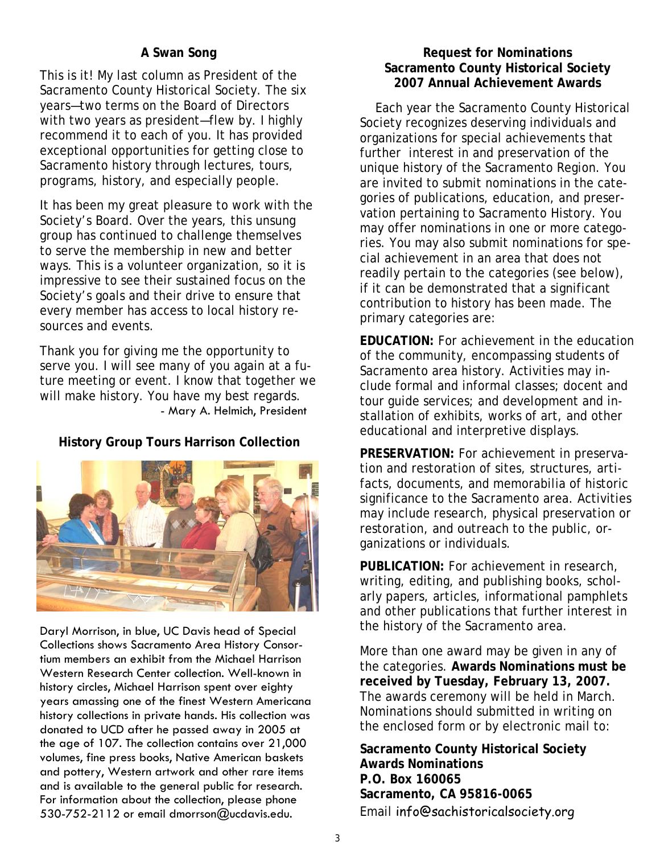# **A Swan Song**

This is it! My last column as President of the Sacramento County Historical Society. The six years—two terms on the Board of Directors with two years as president—flew by. I highly recommend it to each of you. It has provided exceptional opportunities for getting close to Sacramento history through lectures, tours, programs, history, and especially people.

It has been my great pleasure to work with the Society's Board. Over the years, this unsung group has continued to challenge themselves to serve the membership in new and better ways. This is a volunteer organization, so it is impressive to see their sustained focus on the Society's goals and their drive to ensure that every member has access to local history resources and events.

Thank you for giving me the opportunity to serve you. I will see many of you again at a future meeting or event. I know that together we will make history. You have my best regards. - Mary A. Helmich, President

# **History Group Tours Harrison Collection**



Daryl Morrison, in blue, UC Davis head of Special Collections shows Sacramento Area History Consortium members an exhibit from the Michael Harrison Western Research Center collection. Well-known in history circles, Michael Harrison spent over eighty years amassing one of the finest Western Americana history collections in private hands. His collection was donated to UCD after he passed away in 2005 at the age of 107. The collection contains over 21,000 volumes, fine press books, Native American baskets and pottery, Western artwork and other rare items and is available to the general public for research. For information about the collection, please phone 530-752-2112 or email dmorrson@ucdavis.edu.

## **Request for Nominations Sacramento County Historical Society 2007 Annual Achievement Awards**

 Each year the Sacramento County Historical Society recognizes deserving individuals and organizations for special achievements that further interest in and preservation of the unique history of the Sacramento Region. You are invited to submit nominations in the categories of publications, education, and preservation pertaining to Sacramento History. You may offer nominations in one or more categories. You may also submit nominations for special achievement in an area that does not readily pertain to the categories (see below), if it can be demonstrated that a significant contribution to history has been made. The primary categories are:

**EDUCATION:** For achievement in the education of the community, encompassing students of Sacramento area history. Activities may include formal and informal classes; docent and tour guide services; and development and installation of exhibits, works of art, and other educational and interpretive displays.

**PRESERVATION:** For achievement in preservation and restoration of sites, structures, artifacts, documents, and memorabilia of historic significance to the Sacramento area. Activities may include research, physical preservation or restoration, and outreach to the public, organizations or individuals.

**PUBLICATION:** For achievement in research, writing, editing, and publishing books, scholarly papers, articles, informational pamphlets and other publications that further interest in the history of the Sacramento area.

More than one award may be given in any of the categories. **Awards Nominations must be received by Tuesday, February 13, 2007.**  The awards ceremony will be held in March. Nominations should submitted in writing on the enclosed form or by electronic mail to:

**Sacramento County Historical Society Awards Nominations P.O. Box 160065 Sacramento, CA 95816-0065**  Email info@sachistoricalsociety.org